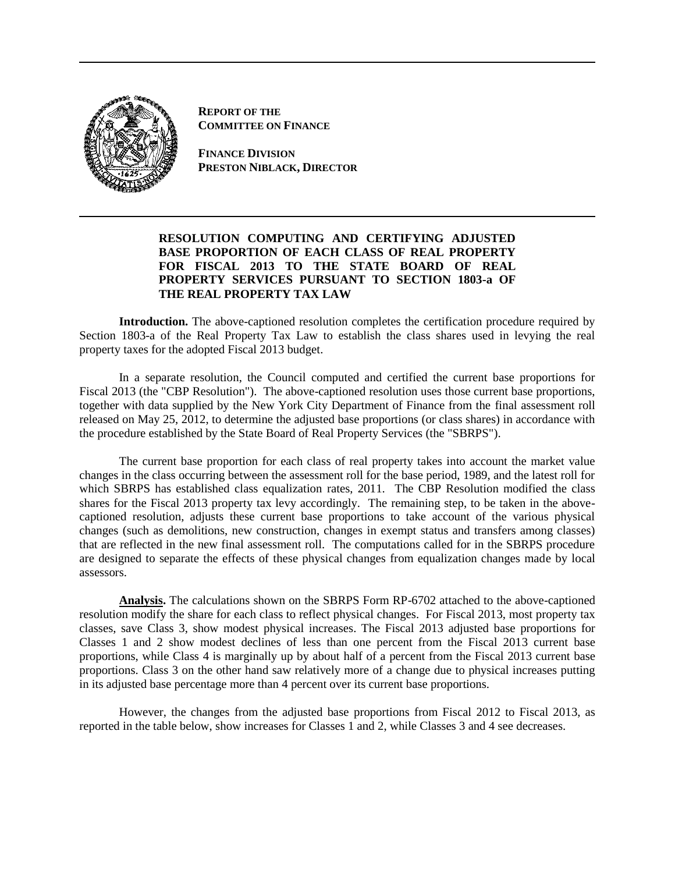

**REPORT OF THE COMMITTEE ON FINANCE**

**FINANCE DIVISION PRESTON NIBLACK, DIRECTOR**

## **RESOLUTION COMPUTING AND CERTIFYING ADJUSTED BASE PROPORTION OF EACH CLASS OF REAL PROPERTY FOR FISCAL 2013 TO THE STATE BOARD OF REAL PROPERTY SERVICES PURSUANT TO SECTION 1803-a OF THE REAL PROPERTY TAX LAW**

**Introduction.** The above-captioned resolution completes the certification procedure required by Section 1803-a of the Real Property Tax Law to establish the class shares used in levying the real property taxes for the adopted Fiscal 2013 budget.

In a separate resolution, the Council computed and certified the current base proportions for Fiscal 2013 (the "CBP Resolution"). The above-captioned resolution uses those current base proportions, together with data supplied by the New York City Department of Finance from the final assessment roll released on May 25, 2012, to determine the adjusted base proportions (or class shares) in accordance with the procedure established by the State Board of Real Property Services (the "SBRPS").

The current base proportion for each class of real property takes into account the market value changes in the class occurring between the assessment roll for the base period, 1989, and the latest roll for which SBRPS has established class equalization rates, 2011. The CBP Resolution modified the class shares for the Fiscal 2013 property tax levy accordingly. The remaining step, to be taken in the abovecaptioned resolution, adjusts these current base proportions to take account of the various physical changes (such as demolitions, new construction, changes in exempt status and transfers among classes) that are reflected in the new final assessment roll. The computations called for in the SBRPS procedure are designed to separate the effects of these physical changes from equalization changes made by local assessors.

**Analysis.** The calculations shown on the SBRPS Form RP-6702 attached to the above-captioned resolution modify the share for each class to reflect physical changes. For Fiscal 2013, most property tax classes, save Class 3, show modest physical increases. The Fiscal 2013 adjusted base proportions for Classes 1 and 2 show modest declines of less than one percent from the Fiscal 2013 current base proportions, while Class 4 is marginally up by about half of a percent from the Fiscal 2013 current base proportions. Class 3 on the other hand saw relatively more of a change due to physical increases putting in its adjusted base percentage more than 4 percent over its current base proportions.

However, the changes from the adjusted base proportions from Fiscal 2012 to Fiscal 2013, as reported in the table below, show increases for Classes 1 and 2, while Classes 3 and 4 see decreases.